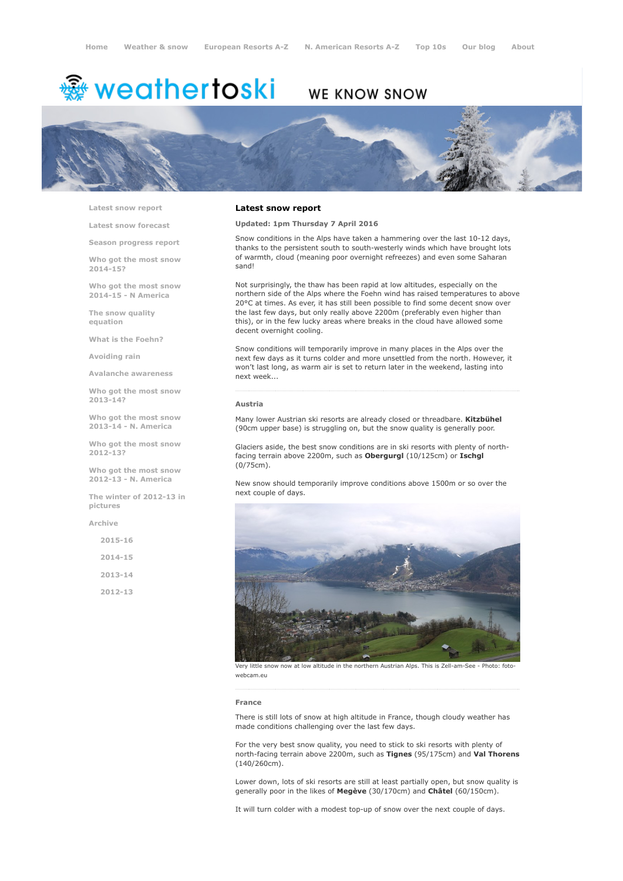# <sup>鑫</sup> weathertoski

# WE KNOW SNOW



Latest snow [report](http://www.weathertoski.co.uk/weather-snow/latest-snow-report/)

Latest snow [forecast](http://www.weathertoski.co.uk/weather-snow/latest-snow-forecast/)

Season [progress](http://www.weathertoski.co.uk/weather-snow/season-progress-report/) report

Who got the most snow 2014-15?

Who got the most snow 2014-15 - N America

The snow quality [equation](http://www.weathertoski.co.uk/weather-snow/the-snow-quality-equation/)

What is the [Foehn?](http://www.weathertoski.co.uk/weather-snow/what-is-the-foehn/)

[Avoiding](http://www.weathertoski.co.uk/weather-snow/avoiding-rain/) rain

Avalanche [awareness](http://www.weathertoski.co.uk/weather-snow/avalanche-awareness/)

Who got the most snow 2013-14?

Who got the most snow 2013-14 - N. America

Who got the most snow 2012-13?

Who got the most snow 2012-13 - N. America

The winter of 2012-13 in pictures

[Archive](http://www.weathertoski.co.uk/weather-snow/archive/)

2015-16 2014-15 2013-14 2012-13

# Latest snow report

Updated: 1pm Thursday 7 April 2016

Snow conditions in the Alps have taken a hammering over the last 10-12 days, thanks to the persistent south to south-westerly winds which have brought lots of warmth, cloud (meaning poor overnight refreezes) and even some Saharan sand!

Not surprisingly, the thaw has been rapid at low altitudes, especially on the northern side of the Alps where the Foehn wind has raised temperatures to above 20°C at times. As ever, it has still been possible to find some decent snow over the last few days, but only really above 2200m (preferably even higher than this), or in the few lucky areas where breaks in the cloud have allowed some decent overnight cooling.

Snow conditions will temporarily improve in many places in the Alps over the next few days as it turns colder and more unsettled from the north. However, it won't last long, as warm air is set to return later in the weekend, lasting into next week...

### Austria

Many lower Austrian ski resorts are already closed or threadbare. Kitzbühel (90cm upper base) is struggling on, but the snow quality is generally poor.

Glaciers aside, the best snow conditions are in ski resorts with plenty of northfacing terrain above 2200m, such as Obergurgl (10/125cm) or Ischgl (0/75cm).

New snow should temporarily improve conditions above 1500m or so over the next couple of days.



Very little snow now at low altitude in the northern Austrian Alps. This is Zell-am-See - Photo: foto webcam.eu

#### France

There is still lots of snow at high altitude in France, though cloudy weather has made conditions challenging over the last few days.

For the very best snow quality, you need to stick to ski resorts with plenty of north-facing terrain above 2200m, such as Tignes (95/175cm) and Val Thorens (140/260cm).

Lower down, lots of ski resorts are still at least partially open, but snow quality is generally poor in the likes of Megève (30/170cm) and Châtel (60/150cm).

It will turn colder with a modest top-up of snow over the next couple of days.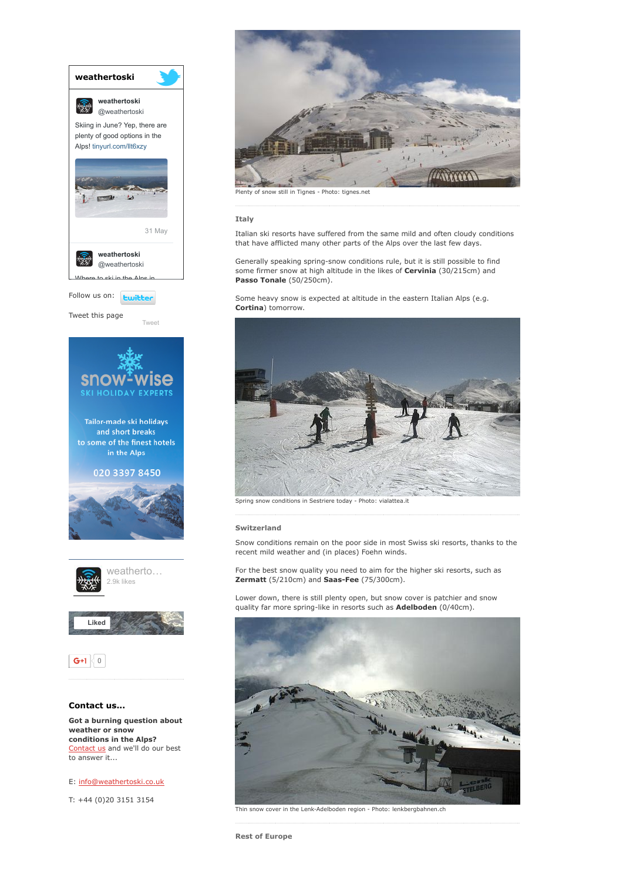

[Contact](http://www.weathertoski.co.uk/about-1/contact-us/) us and we'll do our best to answer it...

E: [info@weathertoski.co.uk](mailto:fraser@weathertoski.co.uk)

T: +44 (0)20 3151 3154



Plenty of snow still in Tignes - Photo: tignes.net

Italy

Italian ski resorts have suffered from the same mild and often cloudy conditions that have afflicted many other parts of the Alps over the last few days.

Generally speaking spring-snow conditions rule, but it is still possible to find some firmer snow at high altitude in the likes of Cervinia (30/215cm) and Passo Tonale (50/250cm).

Some heavy snow is expected at altitude in the eastern Italian Alps (e.g. Cortina) tomorrow.



Spring snow conditions in Sestriere today - Photo: vialattea.it

# Switzerland

Snow conditions remain on the poor side in most Swiss ski resorts, thanks to the recent mild weather and (in places) Foehn winds.

For the best snow quality you need to aim for the higher ski resorts, such as Zermatt (5/210cm) and Saas-Fee (75/300cm).

Lower down, there is still plenty open, but snow cover is patchier and snow quality far more spring-like in resorts such as **Adelboden** (0/40cm).